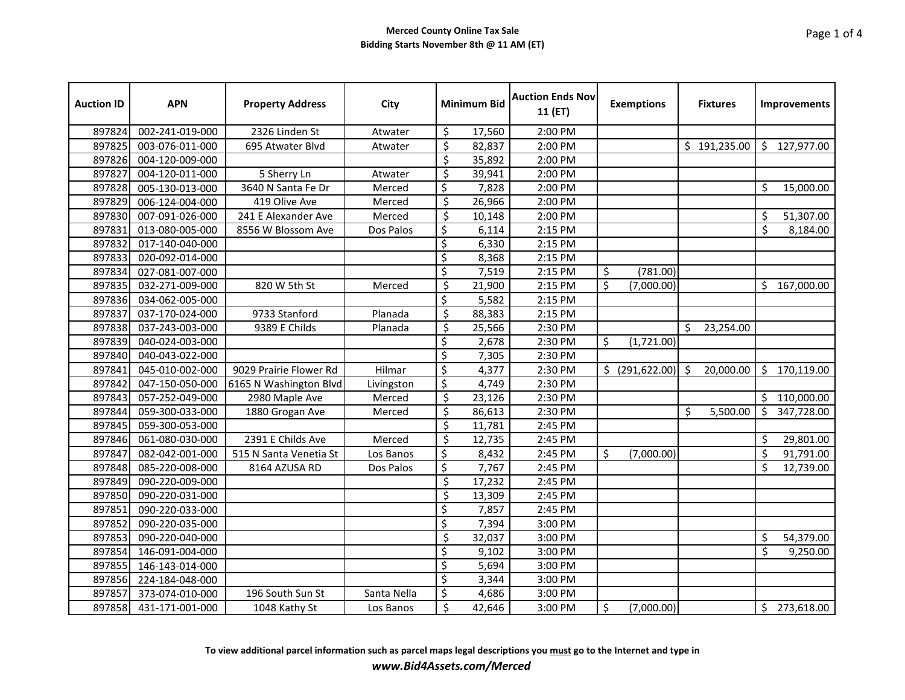| <b>Auction ID</b> | <b>APN</b>      | <b>Property Address</b> | City        |                          | <b>Minimum Bid</b> | <b>Auction Ends Nov</b><br>11 (ET) | <b>Exemptions</b> |    | <b>Fixtures</b> |         | Improvements |
|-------------------|-----------------|-------------------------|-------------|--------------------------|--------------------|------------------------------------|-------------------|----|-----------------|---------|--------------|
| 897824            | 002-241-019-000 | 2326 Linden St          | Atwater     | \$                       | 17,560             | 2:00 PM                            |                   |    |                 |         |              |
| 897825            | 003-076-011-000 | 695 Atwater Blvd        | Atwater     | \$                       | 82,837             | 2:00 PM                            |                   |    | \$191,235.00    |         | \$127,977.00 |
| 897826            | 004-120-009-000 |                         |             | \$                       | 35,892             | 2:00 PM                            |                   |    |                 |         |              |
| 897827            | 004-120-011-000 | 5 Sherry Ln             | Atwater     | \$                       | 39,941             | 2:00 PM                            |                   |    |                 |         |              |
| 897828            | 005-130-013-000 | 3640 N Santa Fe Dr      | Merced      | \$                       | 7,828              | 2:00 PM                            |                   |    |                 | \$      | 15,000.00    |
| 897829            | 006-124-004-000 | 419 Olive Ave           | Merced      | \$                       | 26,966             | 2:00 PM                            |                   |    |                 |         |              |
| 897830            | 007-091-026-000 | 241 E Alexander Ave     | Merced      | \$                       | 10,148             | 2:00 PM                            |                   |    |                 | \$      | 51,307.00    |
| 897831            | 013-080-005-000 | 8556 W Blossom Ave      | Dos Palos   | \$                       | 6,114              | 2:15 PM                            |                   |    |                 | \$      | 8,184.00     |
| 897832            | 017-140-040-000 |                         |             | \$                       | 6,330              | 2:15 PM                            |                   |    |                 |         |              |
| 897833            | 020-092-014-000 |                         |             | \$                       | 8,368              | 2:15 PM                            |                   |    |                 |         |              |
| 897834            | 027-081-007-000 |                         |             | \$                       | 7,519              | 2:15 PM                            | \$<br>(781.00)    |    |                 |         |              |
| 897835            | 032-271-009-000 | 820 W 5th St            | Merced      | \$                       | 21,900             | 2:15 PM                            | \$<br>(7,000.00)  |    |                 | \$      | 167,000.00   |
| 897836            | 034-062-005-000 |                         |             | \$                       | 5,582              | 2:15 PM                            |                   |    |                 |         |              |
| 897837            | 037-170-024-000 | 9733 Stanford           | Planada     | \$                       | 88,383             | 2:15 PM                            |                   |    |                 |         |              |
| 897838            | 037-243-003-000 | 9389 E Childs           | Planada     | \$                       | 25,566             | 2:30 PM                            |                   | Ŝ. | 23,254.00       |         |              |
| 897839            | 040-024-003-000 |                         |             | \$                       | 2,678              | 2:30 PM                            | \$<br>(1,721.00)  |    |                 |         |              |
| 897840            | 040-043-022-000 |                         |             | $\overline{\mathsf{S}}$  | 7,305              | 2:30 PM                            |                   |    |                 |         |              |
| 897841            | 045-010-002-000 | 9029 Prairie Flower Rd  | Hilmar      | \$                       | 4,377              | 2:30 PM                            | $$$ (291,622.00)  | \$ | 20,000.00       | \$      | 170,119.00   |
| 897842            | 047-150-050-000 | 6165 N Washington Blvd  | Livingston  | \$                       | 4,749              | 2:30 PM                            |                   |    |                 |         |              |
| 897843            | 057-252-049-000 | 2980 Maple Ave          | Merced      | \$                       | 23,126             | 2:30 PM                            |                   |    |                 | \$      | 110,000.00   |
| 897844            | 059-300-033-000 | 1880 Grogan Ave         | Merced      | \$                       | 86,613             | 2:30 PM                            |                   | \$ | 5,500.00        | \$      | 347,728.00   |
| 897845            | 059-300-053-000 |                         |             | \$                       | 11,781             | 2:45 PM                            |                   |    |                 |         |              |
| 897846            | 061-080-030-000 | 2391 E Childs Ave       | Merced      | \$                       | 12,735             | 2:45 PM                            |                   |    |                 | \$      | 29,801.00    |
| 897847            | 082-042-001-000 | 515 N Santa Venetia St  | Los Banos   | \$                       | 8,432              | 2:45 PM                            | \$<br>(7,000.00)  |    |                 | \$      | 91,791.00    |
| 897848            | 085-220-008-000 | 8164 AZUSA RD           | Dos Palos   | \$                       | 7,767              | 2:45 PM                            |                   |    |                 | \$      | 12,739.00    |
| 897849            | 090-220-009-000 |                         |             | \$                       | 17,232             | 2:45 PM                            |                   |    |                 |         |              |
| 897850            | 090-220-031-000 |                         |             | $\overline{\mathcal{S}}$ | 13,309             | 2:45 PM                            |                   |    |                 |         |              |
| 897851            | 090-220-033-000 |                         |             | \$                       | 7,857              | 2:45 PM                            |                   |    |                 |         |              |
| 897852            | 090-220-035-000 |                         |             | \$                       | 7,394              | 3:00 PM                            |                   |    |                 |         |              |
| 897853            | 090-220-040-000 |                         |             | $\overline{\mathsf{S}}$  | 32,037             | 3:00 PM                            |                   |    |                 | \$      | 54,379.00    |
| 897854            | 146-091-004-000 |                         |             | \$                       | 9,102              | 3:00 PM                            |                   |    |                 | $\zeta$ | 9,250.00     |
| 897855            | 146-143-014-000 |                         |             | \$                       | 5,694              | 3:00 PM                            |                   |    |                 |         |              |
| 897856            | 224-184-048-000 |                         |             | $\overline{\mathsf{S}}$  | 3,344              | 3:00 PM                            |                   |    |                 |         |              |
| 897857            | 373-074-010-000 | 196 South Sun St        | Santa Nella | \$                       | 4,686              | 3:00 PM                            |                   |    |                 |         |              |
| 897858            | 431-171-001-000 | 1048 Kathy St           | Los Banos   | \$                       | 42,646             | 3:00 PM                            | \$<br>(7,000.00)  |    |                 |         | \$273,618.00 |

**To view additional parcel information such as parcel maps legal descriptions you must go to the Internet and type in** *www.Bid4Assets.com/Merced*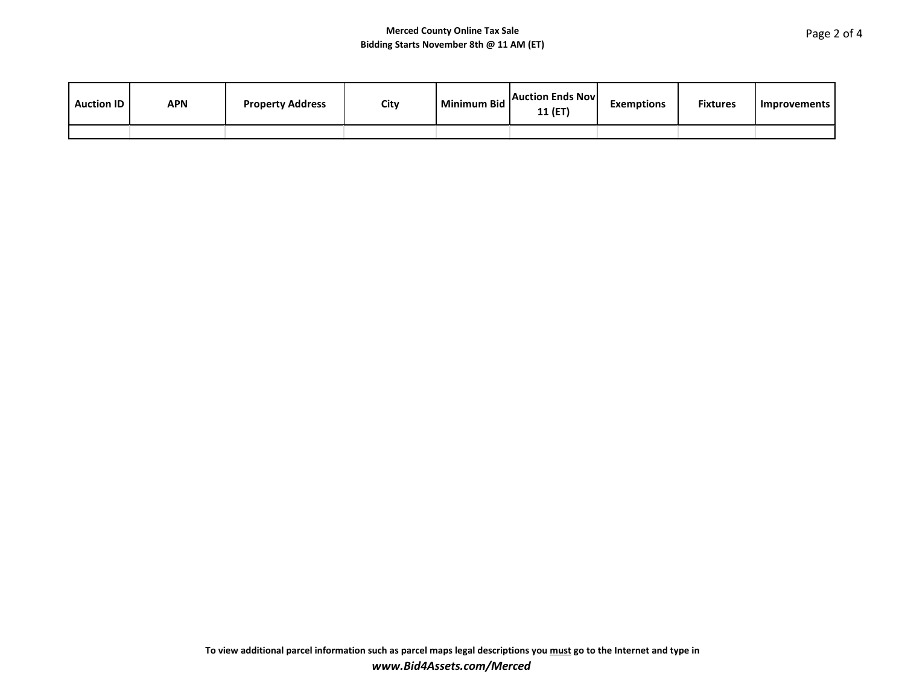| <b>Auction ID</b> | APN | <b>Property Address</b> | City | <b>Minimum Bid</b> | <b>Auction Ends Novi</b><br>11 (ET | <b>Exemptions</b> | <b>Fixtures</b> | Improvements |
|-------------------|-----|-------------------------|------|--------------------|------------------------------------|-------------------|-----------------|--------------|
|                   |     |                         |      |                    |                                    |                   |                 |              |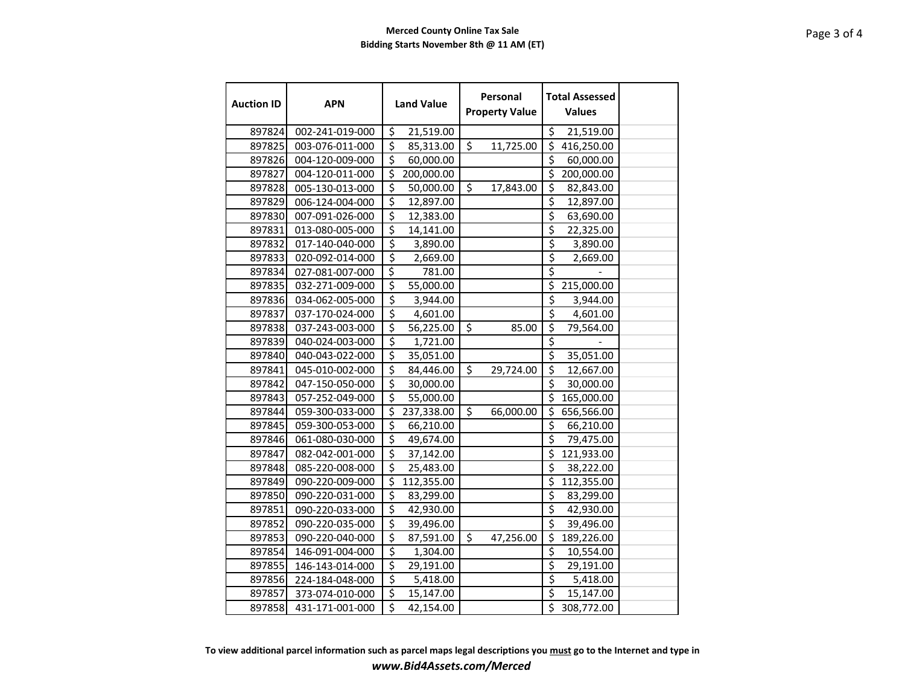| <b>Auction ID</b> | <b>APN</b>      | <b>Land Value</b>                     | Personal<br><b>Property Value</b>    | <b>Total Assessed</b><br><b>Values</b> |  |
|-------------------|-----------------|---------------------------------------|--------------------------------------|----------------------------------------|--|
| 897824            | 002-241-019-000 | \$<br>21,519.00                       |                                      | \$<br>21,519.00                        |  |
| 897825            | 003-076-011-000 | $\overline{\xi}$<br>85,313.00         | $\overline{\mathsf{S}}$<br>11,725.00 | \$<br>416,250.00                       |  |
| 897826            | 004-120-009-000 | $\overline{\mathcal{S}}$<br>60,000.00 |                                      | \$<br>60,000.00                        |  |
| 897827            | 004-120-011-000 | \$<br>200,000.00                      |                                      | \$<br>200,000.00                       |  |
| 897828            | 005-130-013-000 | \$<br>50,000.00                       | \$<br>17,843.00                      | \$<br>82,843.00                        |  |
| 897829            | 006-124-004-000 | \$<br>12,897.00                       |                                      | \$<br>12,897.00                        |  |
| 897830            | 007-091-026-000 | $\overline{\xi}$<br>12,383.00         |                                      | \$<br>63,690.00                        |  |
| 897831            | 013-080-005-000 | \$<br>14,141.00                       |                                      | \$<br>22,325.00                        |  |
| 897832            | 017-140-040-000 | $\overline{\xi}$<br>3,890.00          |                                      | \$<br>3,890.00                         |  |
| 897833            | 020-092-014-000 | $\overline{\xi}$<br>2,669.00          |                                      | \$<br>2,669.00                         |  |
| 897834            | 027-081-007-000 | \$<br>781.00                          |                                      | \$                                     |  |
| 897835            | 032-271-009-000 | \$<br>55,000.00                       |                                      | $\overline{\xi}$<br>215,000.00         |  |
| 897836            | 034-062-005-000 | \$<br>3,944.00                        |                                      | \$<br>3,944.00                         |  |
| 897837            | 037-170-024-000 | $\overline{\mathcal{S}}$<br>4,601.00  |                                      | \$<br>4,601.00                         |  |
| 897838            | 037-243-003-000 | $\overline{\xi}$<br>56,225.00         | $\mathsf{\hat{S}}$<br>85.00          | \$<br>79,564.00                        |  |
| 897839            | 040-024-003-000 | \$<br>1,721.00                        |                                      | \$                                     |  |
| 897840            | 040-043-022-000 | \$<br>35,051.00                       |                                      | \$<br>35,051.00                        |  |
| 897841            | 045-010-002-000 | \$<br>84,446.00                       | \$<br>29,724.00                      | \$<br>12,667.00                        |  |
| 897842            | 047-150-050-000 | \$<br>30,000.00                       |                                      | \$<br>30,000.00                        |  |
| 897843            | 057-252-049-000 | $\overline{\xi}$<br>55,000.00         |                                      | \$<br>165,000.00                       |  |
| 897844            | 059-300-033-000 | \$<br>237,338.00                      | \$<br>66,000.00                      | \$<br>656,566.00                       |  |
| 897845            | 059-300-053-000 | \$<br>66,210.00                       |                                      | \$<br>66,210.00                        |  |
| 897846            | 061-080-030-000 | \$<br>49,674.00                       |                                      | $\overline{\xi}$<br>79,475.00          |  |
| 897847            | 082-042-001-000 | \$<br>37,142.00                       |                                      | \$<br>121,933.00                       |  |
| 897848            | 085-220-008-000 | $\overline{\xi}$<br>25,483.00         |                                      | \$<br>38,222.00                        |  |
| 897849            | 090-220-009-000 | \$<br>112,355.00                      |                                      | \$<br>112,355.00                       |  |
| 897850            | 090-220-031-000 | \$<br>83,299.00                       |                                      | \$<br>83,299.00                        |  |
| 897851            | 090-220-033-000 | \$<br>42,930.00                       |                                      | \$<br>42,930.00                        |  |
| 897852            | 090-220-035-000 | \$<br>39,496.00                       |                                      | \$<br>39,496.00                        |  |
| 897853            | 090-220-040-000 | \$<br>87,591.00                       | $\overline{\mathsf{S}}$<br>47,256.00 | \$<br>189,226.00                       |  |
| 897854            | 146-091-004-000 | $\overline{\xi}$<br>1,304.00          |                                      | \$<br>10,554.00                        |  |
| 897855            | 146-143-014-000 | \$<br>29,191.00                       |                                      | \$<br>29,191.00                        |  |
| 897856            | 224-184-048-000 | \$<br>5,418.00                        |                                      | \$<br>5,418.00                         |  |
| 897857            | 373-074-010-000 | \$<br>15,147.00                       |                                      | \$<br>15,147.00                        |  |
| 897858            | 431-171-001-000 | \$<br>42,154.00                       |                                      | $\overline{5}$ 308,772.00              |  |

**To view additional parcel information such as parcel maps legal descriptions you must go to the Internet and type in** *www.Bid4Assets.com/Merced*